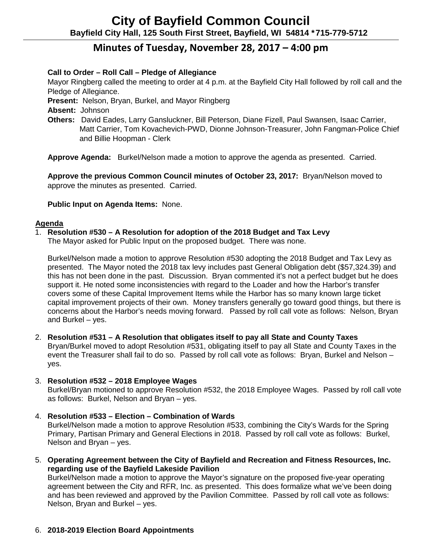# **Minutes of Tuesday, November 28, 2017 – 4:00 pm**

# **Call to Order – Roll Call – Pledge of Allegiance**

Mayor Ringberg called the meeting to order at 4 p.m. at the Bayfield City Hall followed by roll call and the Pledge of Allegiance.

**Present:** Nelson, Bryan, Burkel, and Mayor Ringberg

**Absent:** Johnson

**Others:** David Eades, Larry Gansluckner, Bill Peterson, Diane Fizell, Paul Swansen, Isaac Carrier, Matt Carrier, Tom Kovachevich-PWD, Dionne Johnson-Treasurer, John Fangman-Police Chief and Billie Hoopman - Clerk

**Approve Agenda:** Burkel/Nelson made a motion to approve the agenda as presented. Carried.

**Approve the previous Common Council minutes of October 23, 2017:** Bryan/Nelson moved to approve the minutes as presented. Carried.

# **Public Input on Agenda Items:** None.

## **Agenda**

# 1. **Resolution #530 – A Resolution for adoption of the 2018 Budget and Tax Levy**

The Mayor asked for Public Input on the proposed budget. There was none.

Burkel/Nelson made a motion to approve Resolution #530 adopting the 2018 Budget and Tax Levy as presented. The Mayor noted the 2018 tax levy includes past General Obligation debt (\$57,324.39) and this has not been done in the past. Discussion. Bryan commented it's not a perfect budget but he does support it. He noted some inconsistencies with regard to the Loader and how the Harbor's transfer covers some of these Capital Improvement Items while the Harbor has so many known large ticket capital improvement projects of their own. Money transfers generally go toward good things, but there is concerns about the Harbor's needs moving forward. Passed by roll call vote as follows: Nelson, Bryan and Burkel – yes.

2. **Resolution #531 – A Resolution that obligates itself to pay all State and County Taxes** Bryan/Burkel moved to adopt Resolution #531, obligating itself to pay all State and County Taxes in the event the Treasurer shall fail to do so. Passed by roll call vote as follows: Bryan, Burkel and Nelson – yes.

# 3. **Resolution #532 – 2018 Employee Wages**

Burkel/Bryan motioned to approve Resolution #532, the 2018 Employee Wages. Passed by roll call vote as follows: Burkel, Nelson and Bryan – yes.

4. **Resolution #533 – Election – Combination of Wards**

Burkel/Nelson made a motion to approve Resolution #533, combining the City's Wards for the Spring Primary, Partisan Primary and General Elections in 2018. Passed by roll call vote as follows: Burkel, Nelson and Bryan – yes.

5. **Operating Agreement between the City of Bayfield and Recreation and Fitness Resources, Inc. regarding use of the Bayfield Lakeside Pavilion** 

Burkel/Nelson made a motion to approve the Mayor's signature on the proposed five-year operating agreement between the City and RFR, Inc. as presented. This does formalize what we've been doing and has been reviewed and approved by the Pavilion Committee. Passed by roll call vote as follows: Nelson, Bryan and Burkel – yes.

# 6. **2018-2019 Election Board Appointments**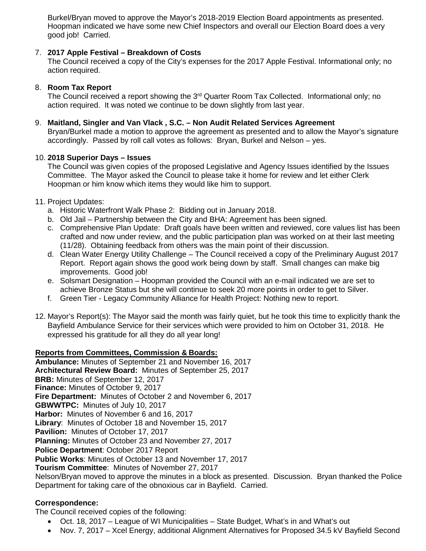Burkel/Bryan moved to approve the Mayor's 2018-2019 Election Board appointments as presented. Hoopman indicated we have some new Chief Inspectors and overall our Election Board does a very good job! Carried.

## 7. **2017 Apple Festival – Breakdown of Costs**

The Council received a copy of the City's expenses for the 2017 Apple Festival. Informational only; no action required.

## 8. **Room Tax Report**

The Council received a report showing the 3<sup>rd</sup> Quarter Room Tax Collected. Informational only; no action required. It was noted we continue to be down slightly from last year.

## 9. **Maitland, Singler and Van Vlack , S.C. – Non Audit Related Services Agreement**

Bryan/Burkel made a motion to approve the agreement as presented and to allow the Mayor's signature accordingly. Passed by roll call votes as follows: Bryan, Burkel and Nelson – yes.

### 10. **2018 Superior Days – Issues**

The Council was given copies of the proposed Legislative and Agency Issues identified by the Issues Committee. The Mayor asked the Council to please take it home for review and let either Clerk Hoopman or him know which items they would like him to support.

### 11. Project Updates:

- a. Historic Waterfront Walk Phase 2: Bidding out in January 2018.
- b. Old Jail Partnership between the City and BHA: Agreement has been signed.
- c. Comprehensive Plan Update: Draft goals have been written and reviewed, core values list has been crafted and now under review, and the public participation plan was worked on at their last meeting (11/28). Obtaining feedback from others was the main point of their discussion.
- d. Clean Water Energy Utility Challenge The Council received a copy of the Preliminary August 2017 Report. Report again shows the good work being down by staff. Small changes can make big improvements. Good job!
- e. Solsmart Designation Hoopman provided the Council with an e-mail indicated we are set to achieve Bronze Status but she will continue to seek 20 more points in order to get to Silver.
- f. Green Tier Legacy Community Alliance for Health Project: Nothing new to report.
- 12. Mayor's Report(s): The Mayor said the month was fairly quiet, but he took this time to explicitly thank the Bayfield Ambulance Service for their services which were provided to him on October 31, 2018. He expressed his gratitude for all they do all year long!

### **Reports from Committees, Commission & Boards:**

**Ambulance:** Minutes of September 21 and November 16, 2017 **Architectural Review Board:** Minutes of September 25, 2017 **BRB:** Minutes of September 12, 2017 **Finance:** Minutes of October 9, 2017 **Fire Department:** Minutes of October 2 and November 6, 2017 **GBWWTPC:** Minutes of July 10, 2017 **Harbor:** Minutes of November 6 and 16, 2017 **Library**: Minutes of October 18 and November 15, 2017 **Pavilion:** Minutes of October 17, 2017 **Planning:** Minutes of October 23 and November 27, 2017 **Police Department**: October 2017 Report **Public Works**: Minutes of October 13 and November 17, 2017 **Tourism Committee**: Minutes of November 27, 2017 Nelson/Bryan moved to approve the minutes in a block as presented. Discussion. Bryan thanked the Police

Department for taking care of the obnoxious car in Bayfield. Carried.

### **Correspondence:**

The Council received copies of the following:

- Oct. 18, 2017 League of WI Municipalities State Budget, What's in and What's out
- Nov. 7, 2017 Xcel Energy, additional Alignment Alternatives for Proposed 34.5 kV Bayfield Second